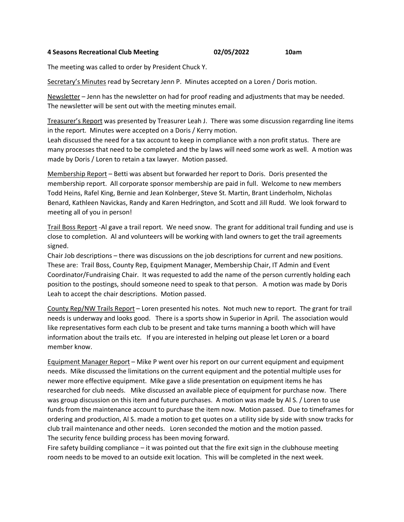## **4 Seasons Recreational Club Meeting 02/05/2022 10am**

The meeting was called to order by President Chuck Y.

Secretary's Minutes read by Secretary Jenn P. Minutes accepted on a Loren / Doris motion.

Newsletter – Jenn has the newsletter on had for proof reading and adjustments that may be needed. The newsletter will be sent out with the meeting minutes email.

Treasurer's Report was presented by Treasurer Leah J. There was some discussion regarrding line items in the report. Minutes were accepted on a Doris / Kerry motion.

Leah discussed the need for a tax account to keep in compliance with a non profit status. There are many processes that need to be completed and the by laws will need some work as well. A motion was made by Doris / Loren to retain a tax lawyer. Motion passed.

Membership Report – Betti was absent but forwarded her report to Doris. Doris presented the membership report. All corporate sponsor membership are paid in full. Welcome to new members Todd Heins, Rafel King, Bernie and Jean Kolnberger, Steve St. Martin, Brant Linderholm, Nicholas Benard, Kathleen Navickas, Randy and Karen Hedrington, and Scott and Jill Rudd. We look forward to meeting all of you in person!

Trail Boss Report -Al gave a trail report. We need snow. The grant for additional trail funding and use is close to completion. Al and volunteers will be working with land owners to get the trail agreements signed.

Chair Job descriptions – there was discussions on the job descriptions for current and new positions. These are: Trail Boss, County Rep, Equipment Manager, Membership Chair, IT Admin and Event Coordinator/Fundraising Chair. It was requested to add the name of the person currently holding each position to the postings, should someone need to speak to that person. A motion was made by Doris Leah to accept the chair descriptions. Motion passed.

County Rep/NW Trails Report – Loren presented his notes. Not much new to report. The grant for trail needs is underway and looks good. There is a sports show in Superior in April. The association would like representatives form each club to be present and take turns manning a booth which will have information about the trails etc. If you are interested in helping out please let Loren or a board member know.

Equipment Manager Report – Mike P went over his report on our current equipment and equipment needs. Mike discussed the limitations on the current equipment and the potential multiple uses for newer more effective equipment. Mike gave a slide presentation on equipment items he has researched for club needs. Mike discussed an available piece of equipment for purchase now. There was group discussion on this item and future purchases. A motion was made by Al S. / Loren to use funds from the maintenance account to purchase the item now. Motion passed. Due to timeframes for ordering and production, Al S. made a motion to get quotes on a utility side by side with snow tracks for club trail maintenance and other needs. Loren seconded the motion and the motion passed. The security fence building process has been moving forward.

Fire safety building compliance – it was pointed out that the fire exit sign in the clubhouse meeting room needs to be moved to an outside exit location. This will be completed in the next week.